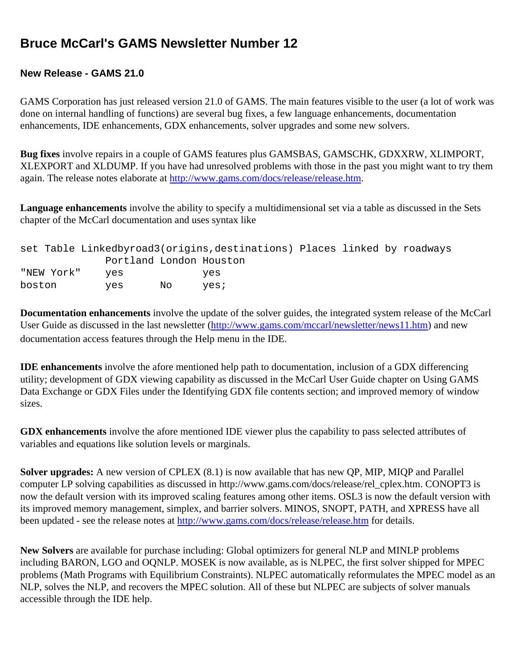# **Bruce McCarl's GAMS Newsletter Number 12**

## **New Release - GAMS 21.0**

GAMS Corporation has just released version 21.0 of GAMS. The main features visible to the user (a lot of work was done on internal handling of functions) are several bug fixes, a few language enhancements, documentation enhancements, IDE enhancements, GDX enhancements, solver upgrades and some new solvers.

**Bug fixes** involve repairs in a couple of GAMS features plus GAMSBAS, GAMSCHK, GDXXRW, XLIMPORT, XLEXPORT and XLDUMP. If you have had unresolved problems with those in the past you might want to try them again. The release notes elaborate at [http://www.gams.com/docs/release/release.htm.](http://www.gams.com/docs/release/release.htm)

**Language enhancements** involve the ability to specify a multidimensional set via a table as discussed in the Sets chapter of the McCarl documentation and uses syntax like

|            |                         |     | set Table Linkedbyroad3(origins, destinations) Places linked by roadways |  |  |
|------------|-------------------------|-----|--------------------------------------------------------------------------|--|--|
|            | Portland London Houston |     |                                                                          |  |  |
| "NEW York" | ves                     |     | ves                                                                      |  |  |
| boston     | ves                     | No. | ves;                                                                     |  |  |

**Documentation enhancements** involve the update of the solver guides, the integrated system release of the McCarl User Guide as discussed in the last newsletter ([http://www.gams.com/mccarl/newsletter/news11.htm\)](http://www.gams.com/mccarl/newsletter/news11.htm) and new documentation access features through the Help menu in the IDE.

**IDE enhancements** involve the afore mentioned help path to documentation, inclusion of a GDX differencing utility; development of GDX viewing capability as discussed in the McCarl User Guide chapter on Using GAMS Data Exchange or GDX Files under the Identifying GDX file contents section; and improved memory of window sizes.

**GDX enhancements** involve the afore mentioned IDE viewer plus the capability to pass selected attributes of variables and equations like solution levels or marginals.

**Solver upgrades:** A new version of CPLEX (8.1) is now available that has new QP, MIP, MIQP and Parallel computer LP solving capabilities as discussed in http://www.gams.com/docs/release/rel\_cplex.htm. CONOPT3 is now the default version with its improved scaling features among other items. OSL3 is now the default version with its improved memory management, simplex, and barrier solvers. MINOS, SNOPT, PATH, and XPRESS have all been updated - see the release notes at <http://www.gams.com/docs/release/release.htm>for details.

**New Solvers** are available for purchase including: Global optimizers for general NLP and MINLP problems including BARON, LGO and OQNLP. MOSEK is now available, as is NLPEC, the first solver shipped for MPEC problems (Math Programs with Equilibrium Constraints). NLPEC automatically reformulates the MPEC model as an NLP, solves the NLP, and recovers the MPEC solution. All of these but NLPEC are subjects of solver manuals accessible through the IDE help.